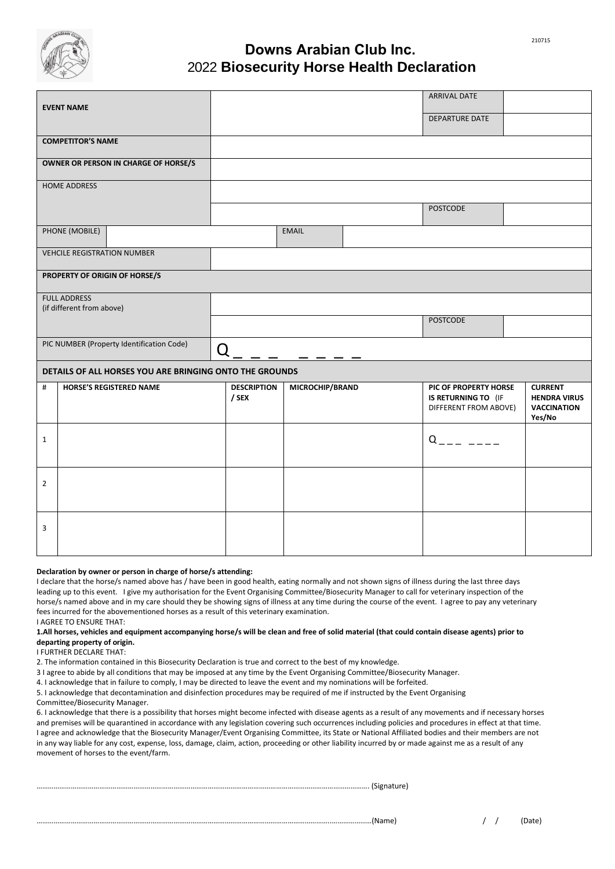

## **Downs Arabian Club Inc.** 2022 **2021 Biosecurity Horse Health Declaration**

| <b>EVENT NAME</b>                                       |                                |        |                             |                 |  | <b>ARRIVAL DATE</b>                                                   |  |                                                                       |  |  |  |
|---------------------------------------------------------|--------------------------------|--------|-----------------------------|-----------------|--|-----------------------------------------------------------------------|--|-----------------------------------------------------------------------|--|--|--|
|                                                         |                                |        |                             |                 |  | <b>DEPARTURE DATE</b>                                                 |  |                                                                       |  |  |  |
| <b>COMPETITOR'S NAME</b>                                |                                |        |                             |                 |  |                                                                       |  |                                                                       |  |  |  |
| OWNER OR PERSON IN CHARGE OF HORSE/S                    |                                |        |                             |                 |  |                                                                       |  |                                                                       |  |  |  |
| <b>HOME ADDRESS</b>                                     |                                |        |                             |                 |  |                                                                       |  |                                                                       |  |  |  |
|                                                         |                                |        |                             |                 |  | <b>POSTCODE</b>                                                       |  |                                                                       |  |  |  |
|                                                         | PHONE (MOBILE)                 |        |                             | <b>EMAIL</b>    |  |                                                                       |  |                                                                       |  |  |  |
| <b>VEHCILE REGISTRATION NUMBER</b>                      |                                |        |                             |                 |  |                                                                       |  |                                                                       |  |  |  |
| PROPERTY OF ORIGIN OF HORSE/S                           |                                |        |                             |                 |  |                                                                       |  |                                                                       |  |  |  |
| <b>FULL ADDRESS</b><br>(if different from above)        |                                |        |                             |                 |  |                                                                       |  |                                                                       |  |  |  |
|                                                         |                                |        |                             |                 |  | <b>POSTCODE</b>                                                       |  |                                                                       |  |  |  |
| PIC NUMBER (Property Identification Code)               |                                | $\Box$ |                             |                 |  |                                                                       |  |                                                                       |  |  |  |
| DETAILS OF ALL HORSES YOU ARE BRINGING ONTO THE GROUNDS |                                |        |                             |                 |  |                                                                       |  |                                                                       |  |  |  |
| #                                                       | <b>HORSE'S REGISTERED NAME</b> |        | <b>DESCRIPTION</b><br>/ SEX | MICROCHIP/BRAND |  | PIC OF PROPERTY HORSE<br>IS RETURNING TO (IF<br>DIFFERENT FROM ABOVE) |  | <b>CURRENT</b><br><b>HENDRA VIRUS</b><br><b>VACCINATION</b><br>Yes/No |  |  |  |
| $\mathbf{1}$                                            |                                |        |                             |                 |  | $Q = - -$                                                             |  |                                                                       |  |  |  |
| $\overline{2}$                                          |                                |        |                             |                 |  |                                                                       |  |                                                                       |  |  |  |
| 3                                                       |                                |        |                             |                 |  |                                                                       |  |                                                                       |  |  |  |

## **Declaration by owner or person in charge of horse/s attending:**

I declare that the horse/s named above has / have been in good health, eating normally and not shown signs of illness during the last three days leading up to this event. I give my authorisation for the Event Organising Committee/Biosecurity Manager to call for veterinary inspection of the horse/s named above and in my care should they be showing signs of illness at any time during the course of the event. I agree to pay any veterinary fees incurred for the abovementioned horses as a result of this veterinary examination. I AGREE TO ENSURE THAT:

## **1.All horses, vehicles and equipment accompanying horse/s will be clean and free of solid material (that could contain disease agents) prior to departing property of origin.**

I FURTHER DECLARE THAT:

2. The information contained in this Biosecurity Declaration is true and correct to the best of my knowledge.

3 I agree to abide by all conditions that may be imposed at any time by the Event Organising Committee/Biosecurity Manager.

4. I acknowledge that in failure to comply, I may be directed to leave the event and my nominations will be forfeited.

5. I acknowledge that decontamination and disinfection procedures may be required of me if instructed by the Event Organising

Committee/Biosecurity Manager.

6. I acknowledge that there is a possibility that horses might become infected with disease agents as a result of any movements and if necessary horses and premises will be quarantined in accordance with any legislation covering such occurrences including policies and procedures in effect at that time. I agree and acknowledge that the Biosecurity Manager/Event Organising Committee, its State or National Affiliated bodies and their members are not in any way liable for any cost, expense, loss, damage, claim, action, proceeding or other liability incurred by or made against me as a result of any movement of horses to the event/farm.

…………………………………………………………………………………………………………………………………………………………. (Signature)